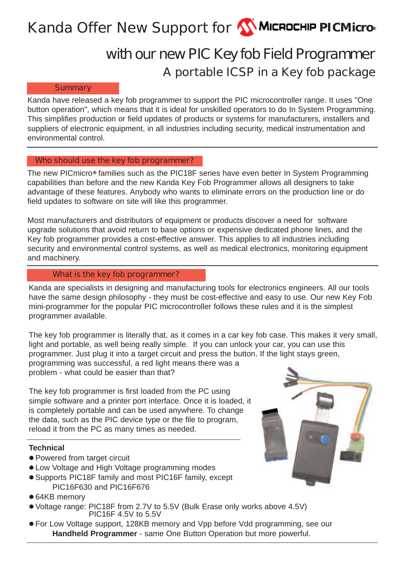# **Kanda Offer New Support for <b>W** MICROCHIP PICMicro®

# **A portable ICSP in a Key fob package with our new PIC Key fob Field Programmer**

#### **Summary**

Kanda have released a key fob programmer to support the PIC microcontroller range. It uses "One button operation", which means that it is ideal for unskilled operators to do In System Programming. This simplifies production or field updates of products or systems for manufacturers, installers and suppliers of electronic equipment, in all industries including security, medical instrumentation and environmental control.

#### **Who should use the key fob programmer?**

The new PICmicro**®** families such as the PIC18F series have even better In System Programming capabilities than before and the new Kanda Key Fob Programmer allows all designers to take advantage of these features. Anybody who wants to eliminate errors on the production line or do field updates to software on site will like this programmer.

Most manufacturers and distributors of equipment or products discover a need for software upgrade solutions that avoid return to base options or expensive dedicated phone lines, and the Key fob programmer provides a cost-effective answer. This applies to all industries including security and environmental control systems, as well as medical electronics, monitoring equipment and machinery.

### **What is the key fob programmer?**

Kanda are specialists in designing and manufacturing tools for electronics engineers. All our tools have the same design philosophy - they must be cost-effective and easy to use. Our new Key Fob mini-programmer for the popular PIC microcontroller follows these rules and it is the simplest programmer available.

The key fob programmer is literally that, as it comes in a car key fob case. This makes it very small, light and portable, as well being really simple. If you can unlock your car, you can use this programmer. Just plug it into a target circuit and press the button. If the light stays green,

programming was successful, a red light means there was a problem - what could be easier than that?

The key fob programmer is first loaded from the PC using simple software and a printer port interface. Once it is loaded, it is completely portable and can be used anywhere. To change the data, such as the PIC device type or the file to program, reload it from the PC as many times as needed.

#### **Technical**

- Powered from target circuit
- Low Voltage and High Voltage programming modes
- Supports PIC18F family and most PIC16F family, except PIC16F630 and PIC16F676
- 64KB memory
- <sup>z</sup> Voltage range: PIC18F from 2.7V to 5.5V (Bulk Erase only works above 4.5V) PIC16F 4.5V to 5.5V
- For Low Voltage support, 128KB memory and Vpp before Vdd programming, see our **Handheld Programmer** - same One Button Operation but more powerful.